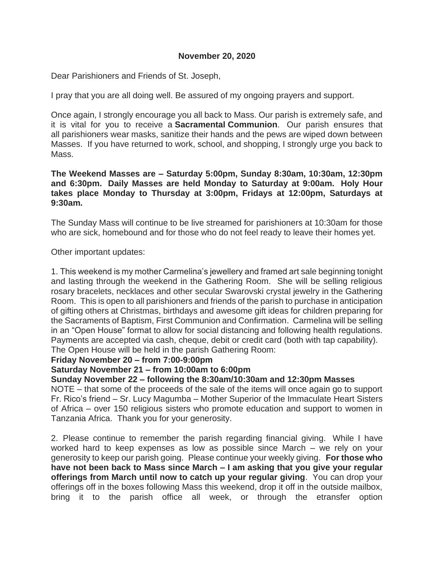# **November 20, 2020**

Dear Parishioners and Friends of St. Joseph,

I pray that you are all doing well. Be assured of my ongoing prayers and support.

Once again, I strongly encourage you all back to Mass. Our parish is extremely safe, and it is vital for you to receive a **Sacramental Communion**. Our parish ensures that all parishioners wear masks, sanitize their hands and the pews are wiped down between Masses. If you have returned to work, school, and shopping, I strongly urge you back to Mass.

**The Weekend Masses are – Saturday 5:00pm, Sunday 8:30am, 10:30am, 12:30pm and 6:30pm. Daily Masses are held Monday to Saturday at 9:00am. Holy Hour takes place Monday to Thursday at 3:00pm, Fridays at 12:00pm, Saturdays at 9:30am.**

The Sunday Mass will continue to be live streamed for parishioners at 10:30am for those who are sick, homebound and for those who do not feel ready to leave their homes yet.

## Other important updates:

1. This weekend is my mother Carmelina's jewellery and framed art sale beginning tonight and lasting through the weekend in the Gathering Room. She will be selling religious rosary bracelets, necklaces and other secular Swarovski crystal jewelry in the Gathering Room. This is open to all parishioners and friends of the parish to purchase in anticipation of gifting others at Christmas, birthdays and awesome gift ideas for children preparing for the Sacraments of Baptism, First Communion and Confirmation. Carmelina will be selling in an "Open House" format to allow for social distancing and following health regulations. Payments are accepted via cash, cheque, debit or credit card (both with tap capability). The Open House will be held in the parish Gathering Room:

## **Friday November 20 – from 7:00-9:00pm**

## **Saturday November 21 – from 10:00am to 6:00pm**

**Sunday November 22 – following the 8:30am/10:30am and 12:30pm Masses**

NOTE – that some of the proceeds of the sale of the items will once again go to support Fr. Rico's friend – Sr. Lucy Magumba – Mother Superior of the Immaculate Heart Sisters of Africa – over 150 religious sisters who promote education and support to women in Tanzania Africa. Thank you for your generosity.

2. Please continue to remember the parish regarding financial giving. While I have worked hard to keep expenses as low as possible since March – we rely on your generosity to keep our parish going. Please continue your weekly giving. **For those who have not been back to Mass since March – I am asking that you give your regular offerings from March until now to catch up your regular giving**. You can drop your offerings off in the boxes following Mass this weekend, drop it off in the outside mailbox, bring it to the parish office all week, or through the etransfer option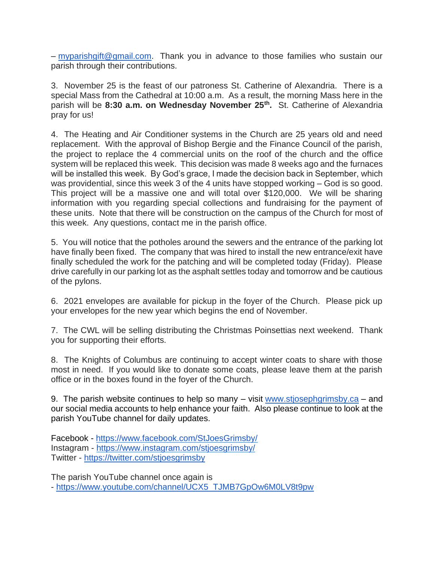– [myparishgift@gmail.com.](mailto:myparishgift@gmail.com) Thank you in advance to those families who sustain our parish through their contributions.

3. November 25 is the feast of our patroness St. Catherine of Alexandria. There is a special Mass from the Cathedral at 10:00 a.m. As a result, the morning Mass here in the parish will be **8:30 a.m. on Wednesday November 25th .** St. Catherine of Alexandria pray for us!

4. The Heating and Air Conditioner systems in the Church are 25 years old and need replacement. With the approval of Bishop Bergie and the Finance Council of the parish, the project to replace the 4 commercial units on the roof of the church and the office system will be replaced this week. This decision was made 8 weeks ago and the furnaces will be installed this week. By God's grace, I made the decision back in September, which was providential, since this week 3 of the 4 units have stopped working – God is so good. This project will be a massive one and will total over \$120,000. We will be sharing information with you regarding special collections and fundraising for the payment of these units. Note that there will be construction on the campus of the Church for most of this week. Any questions, contact me in the parish office.

5. You will notice that the potholes around the sewers and the entrance of the parking lot have finally been fixed. The company that was hired to install the new entrance/exit have finally scheduled the work for the patching and will be completed today (Friday). Please drive carefully in our parking lot as the asphalt settles today and tomorrow and be cautious of the pylons.

6. 2021 envelopes are available for pickup in the foyer of the Church. Please pick up your envelopes for the new year which begins the end of November.

7. The CWL will be selling distributing the Christmas Poinsettias next weekend. Thank you for supporting their efforts.

8. The Knights of Columbus are continuing to accept winter coats to share with those most in need. If you would like to donate some coats, please leave them at the parish office or in the boxes found in the foyer of the Church.

9. The parish website continues to help so many – visit [www.stjosephgrimsby.ca](http://www.stjosephgrimsby.ca/) – and our social media accounts to help enhance your faith. Also please continue to look at the parish YouTube channel for daily updates.

Facebook - <https://www.facebook.com/StJoesGrimsby/> Instagram - <https://www.instagram.com/stjoesgrimsby/> Twitter - <https://twitter.com/stjoesgrimsby>

The parish YouTube channel once again is - [https://www.youtube.com/channel/UCX5\\_TJMB7GpOw6M0LV8t9pw](https://www.youtube.com/channel/UCX5_TJMB7GpOw6M0LV8t9pw)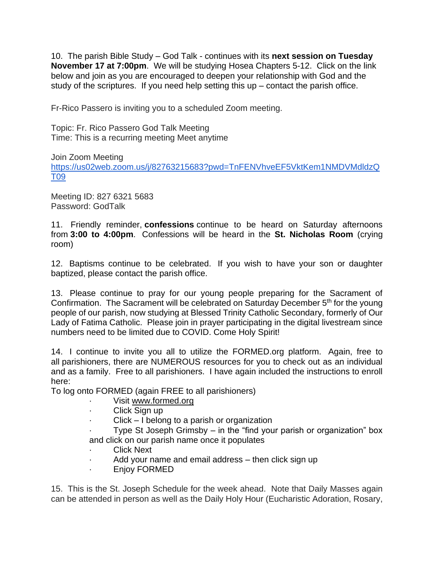10. The parish Bible Study – God Talk - continues with its **next session on Tuesday November 17 at 7:00pm**. We will be studying Hosea Chapters 5-12. Click on the link below and join as you are encouraged to deepen your relationship with God and the study of the scriptures. If you need help setting this  $up$  – contact the parish office.

Fr-Rico Passero is inviting you to a scheduled Zoom meeting.

Topic: Fr. Rico Passero God Talk Meeting Time: This is a recurring meeting Meet anytime

Join Zoom Meeting

[https://us02web.zoom.us/j/82763215683?pwd=TnFENVhveEF5VktKem1NMDVMdldzQ](https://us02web.zoom.us/j/82763215683?pwd=TnFENVhveEF5VktKem1NMDVMdldzQT09) [T09](https://us02web.zoom.us/j/82763215683?pwd=TnFENVhveEF5VktKem1NMDVMdldzQT09)

Meeting ID: 827 6321 5683 Password: GodTalk

11. Friendly reminder, **confessions** continue to be heard on Saturday afternoons from **3:00 to 4:00pm**. Confessions will be heard in the **St. Nicholas Room** (crying room)

12. Baptisms continue to be celebrated. If you wish to have your son or daughter baptized, please contact the parish office.

13. Please continue to pray for our young people preparing for the Sacrament of Confirmation. The Sacrament will be celebrated on Saturday December 5<sup>th</sup> for the young people of our parish, now studying at Blessed Trinity Catholic Secondary, formerly of Our Lady of Fatima Catholic. Please join in prayer participating in the digital livestream since numbers need to be limited due to COVID. Come Holy Spirit!

14. I continue to invite you all to utilize the FORMED.org platform. Again, free to all parishioners, there are NUMEROUS resources for you to check out as an individual and as a family. Free to all parishioners. I have again included the instructions to enroll here:

To log onto FORMED (again FREE to all parishioners)

- Visit [www.formed.org](http://www.formed.org/)
- · Click Sign up
- $Click I belong to a parish or organization$
- Type St Joseph Grimsby in the "find your parish or organization" box and click on our parish name once it populates
- **Click Next**
- · Add your name and email address then click sign up
- · Enjoy FORMED

15. This is the St. Joseph Schedule for the week ahead. Note that Daily Masses again can be attended in person as well as the Daily Holy Hour (Eucharistic Adoration, Rosary,